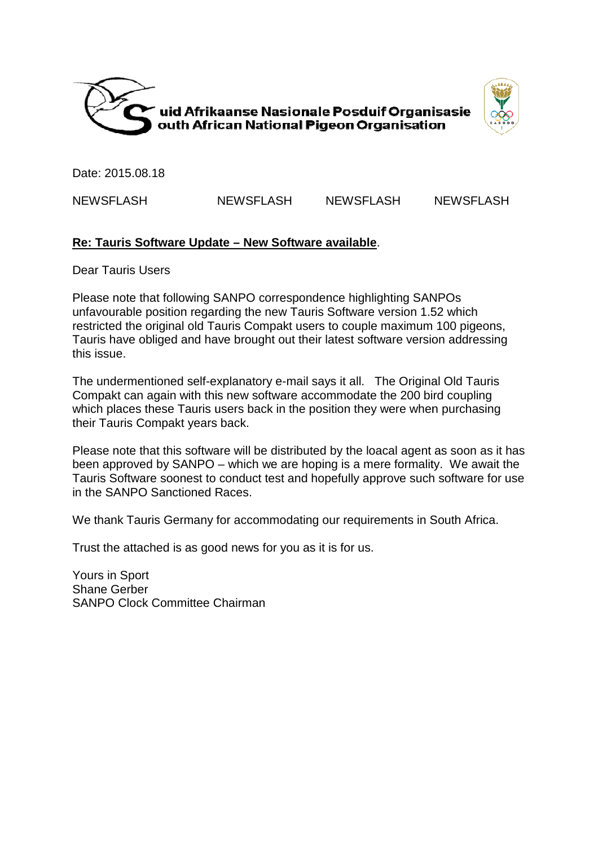



Date: 2015.08.18

NEWSFLASH

## NEWSFLASH NEWSFLASH

## **Re: Tauris Software Update – New Software available**.

Dear Tauris Users

Please note that following SANPO correspondence highlighting SANPOs unfavourable position regarding the new Tauris Software version 1.52 which restricted the original old Tauris Compakt users to couple maximum 100 pigeons, Tauris have obliged and have brought out their latest software version addressing this issue. LASH NEWSFLASH NEWSFLASH NEWSFLASH<br>
In the Software Update – New Software available.<br>
Unis Users<br>
unis Users<br>
unis Users<br>
toote that following SANPO correspondence highlighting SANPOs<br>
the position regarding the new Tauris

The undermentioned self-explanatory e-mail says it all. The Original Old Tauris Compakt can again with this new software accommodate the 200 bird coupling which places these Tauris users back in the position they were when purchasing their Tauris Compakt years back.

Please note that this software will be distributed by the loacal agent as soon as it has been approved by SANPO – which we are hoping is a mere formality. We await the Tauris Software soonest to conduct test and hopefully approve such software for use in the SANPO Sanctioned Races.

We thank Tauris Germany for accommodating our requirements in South Africa.

Trust the attached is as good news for you as it is for us.

Yours in Sport Shane Gerber SANPO Clock Committee Chairman